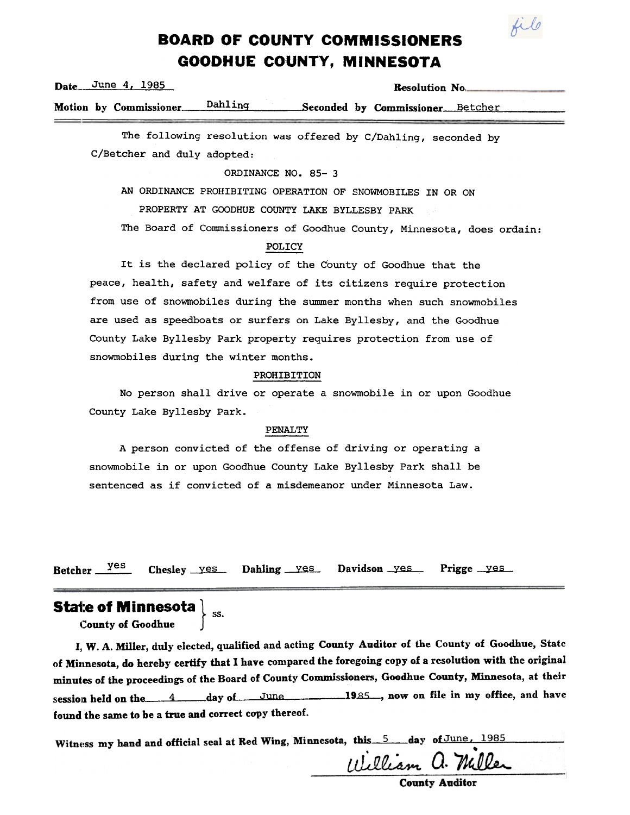

# **BOARD OF COUNTY COMMISSIONERS** GOODHUE COUNTY, MINNESOTA

| Date. | June 4, 1985 |                                 |  |  | <b>Resolution No.</b> |                                  |  |
|-------|--------------|---------------------------------|--|--|-----------------------|----------------------------------|--|
|       |              | Motion by Commissioner. Dahling |  |  |                       | Seconded by Commissioner Betcher |  |
|       |              |                                 |  |  |                       |                                  |  |

The following resolution was offered by C/Dahling, seconded by C/Betcher and duly adopted:

#### ORDINANCE NO. 85- 3

AN ORDINANCE PROHIBITING OPERATION OF SNOWMOBILES IN OR ON

PROPERTY AT GOODHUE COUNTY LAKE BYLLESBY PARK

The Board of Commissioners of Goodhue County, Minnesota, does ordain:

## POLICY

It is the declared policy of the County of Goodhue that the peace, health, safety and welfare of its citizens require protection from use of snowmobiles during the summer months when such snowmobiles are used as speedboats or surfers on Lake Byllesby, and the Goodhue County Lake Byllesby Park property requires protection from use of snowmobiles during the winter months.

#### PROHIBITION

No person shall drive or operate a snowmobile in or upon Goodhue County Lake Byllesby Park.

#### PENALTY

A person convicted of the offense of driving or operating a snowmobile in or upon Goodhue County Lake Byllesby Park shall be sentenced as if convicted of a misdemeanor under Minnesota Law.

Betcher  $\frac{yes}{2}$  Chesley yes Dahling yes Davidson yes Prigge yes

# State of Minnesota  $\big\}$  <sub>ss.</sub>

County of Goodhue

I, W. A. Miller, duly elected, qualified and acting County Auditor of the County of Goodhue, State of Minnesota, do hereby certify that I have compared the foregoing copy of a resolution with the original minutes of the proceedings of the Board of County Commissioners, Goodhue County, Minnesota, at their session held on the  $4$  day of June 1985, now on file in my office, and have found the same to be a true and correct copy thereof.

Witness my hand and official seal at Red Wing, Minnesota, this 5 day of June, William a. Miller